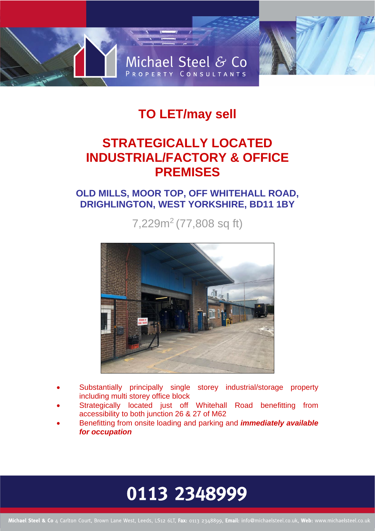

## **TO LET/may sell**

## **STRATEGICALLY LOCATED INDUSTRIAL/FACTORY & OFFICE PREMISES**

### **OLD MILLS, MOOR TOP, OFF WHITEHALL ROAD, DRIGHLINGTON, WEST YORKSHIRE, BD11 1BY**

7,229m<sup>2</sup> (77,808 sq ft)



- Substantially principally single storey industrial/storage property including multi storey office block
- Strategically located just off Whitehall Road benefitting from accessibility to both junction 26 & 27 of M62
- Benefitting from onsite loading and parking and *immediately available for occupation*

# 0113 2348999